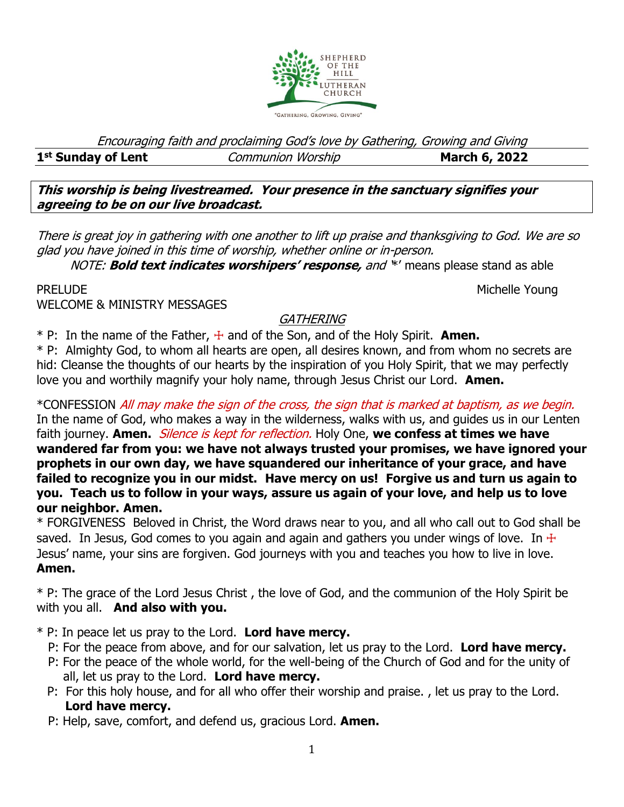

Encouraging faith and proclaiming God's love by Gathering, Growing and Giving

### 1<sup>st</sup> Sunday of Lent

**starburger Communion Worship 1988 March 6, 2022** 

**This worship is being livestreamed. Your presence in the sanctuary signifies your agreeing to be on our live broadcast.** 

There is great joy in gathering with one another to lift up praise and thanksgiving to God. We are so glad you have joined in this time of worship, whether online or in-person.

NOTE: **Bold text indicates worshipers' response,** and '\*' means please stand as able

PRELUDE NOUNE ALL ACCESS AND ACCESS AND ACCESS AND ACCESS AND MICHELLE YOUNG

WELCOME & MINISTRY MESSAGES

## **GATHERING**

 $*$  P: In the name of the Father,  $\pm$  and of the Son, and of the Holy Spirit. **Amen.** 

\* P: Almighty God, to whom all hearts are open, all desires known, and from whom no secrets are hid: Cleanse the thoughts of our hearts by the inspiration of you Holy Spirit, that we may perfectly love you and worthily magnify your holy name, through Jesus Christ our Lord. **Amen.** 

\*CONFESSION All may make the sign of the cross, the sign that is marked at baptism, as we begin. In the name of God, who makes a way in the wilderness, walks with us, and guides us in our Lenten faith journey. **Amen.** Silence is kept for reflection. Holy One, **we confess at times we have wandered far from you: we have not always trusted your promises, we have ignored your prophets in our own day, we have squandered our inheritance of your grace, and have failed to recognize you in our midst. Have mercy on us! Forgive us and turn us again to you. Teach us to follow in your ways, assure us again of your love, and help us to love our neighbor. Amen.**

\* FORGIVENESS Beloved in Christ, the Word draws near to you, and all who call out to God shall be saved. In Jesus, God comes to you again and again and gathers you under wings of love. In  $\pm$ Jesus' name, your sins are forgiven. God journeys with you and teaches you how to live in love. **Amen.**

\* P: The grace of the Lord Jesus Christ , the love of God, and the communion of the Holy Spirit be with you all. **And also with you.**

\* P: In peace let us pray to the Lord. **Lord have mercy.**

- P: For the peace from above, and for our salvation, let us pray to the Lord. **Lord have mercy.**
- P: For the peace of the whole world, for the well-being of the Church of God and for the unity of all, let us pray to the Lord. **Lord have mercy.**
- P: For this holy house, and for all who offer their worship and praise. , let us pray to the Lord.  **Lord have mercy.**
- P: Help, save, comfort, and defend us, gracious Lord. **Amen.**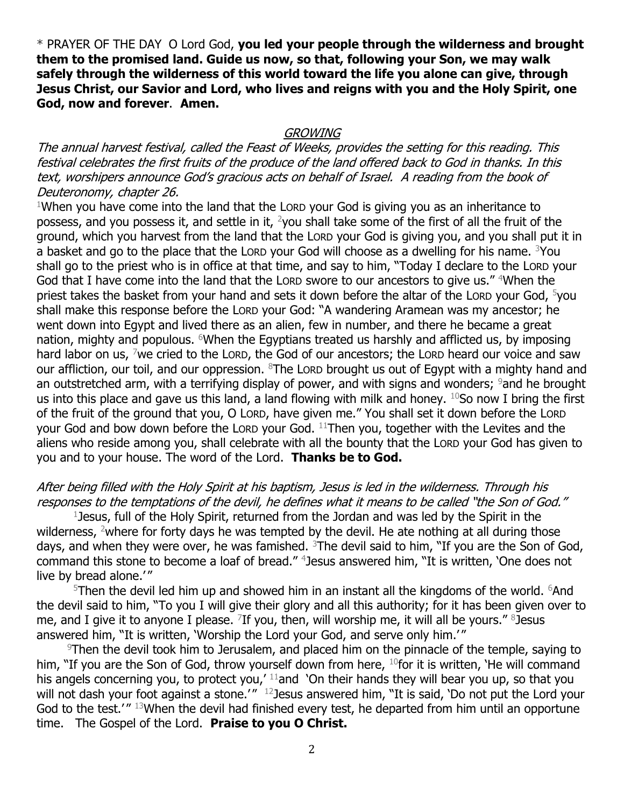\* PRAYER OF THE DAYO Lord God, **you led your people through the wilderness and brought them to the promised land. Guide us now, so that, following your Son, we may walk safely through the wilderness of this world toward the life you alone can give, through Jesus Christ, our Savior and Lord, who lives and reigns with you and the Holy Spirit, one God, now and forever**. **Amen.**

### **GROWING**

The annual harvest festival, called the Feast of Weeks, provides the setting for this reading. This festival celebrates the first fruits of the produce of the land offered back to God in thanks. In this text, worshipers announce God's gracious acts on behalf of Israel. A reading from the book of Deuteronomy, chapter 26.

 $1$ When you have come into the land that the Lorp your God is giving you as an inheritance to possess, and you possess it, and settle in it, <sup>2</sup>you shall take some of the first of all the fruit of the ground, which you harvest from the land that the LORD your God is giving you, and you shall put it in a basket and go to the place that the LORD your God will choose as a dwelling for his name. <sup>3</sup>You shall go to the priest who is in office at that time, and say to him, "Today I declare to the LORD your God that I have come into the land that the LORD swore to our ancestors to give us." <sup>4</sup>When the priest takes the basket from your hand and sets it down before the altar of the LORD your God,  $5$ you shall make this response before the LORD your God: "A wandering Aramean was my ancestor; he went down into Egypt and lived there as an alien, few in number, and there he became a great nation, mighty and populous.  $6$ When the Egyptians treated us harshly and afflicted us, by imposing hard labor on us,  $\frac{7}{1}$  we cried to the LORD, the God of our ancestors; the LORD heard our voice and saw our affliction, our toil, and our oppression.  $8$ The Lorp brought us out of Egypt with a mighty hand and an outstretched arm, with a terrifying display of power, and with signs and wonders;  $9$  and he brought us into this place and gave us this land, a land flowing with milk and honey.  $10S$ o now I bring the first of the fruit of the ground that you, O LORD, have given me." You shall set it down before the LORD your God and bow down before the LORD your God. <sup>11</sup>Then you, together with the Levites and the aliens who reside among you, shall celebrate with all the bounty that the LORD your God has given to you and to your house. The word of the Lord. **Thanks be to God.**

## After being filled with the Holy Spirit at his baptism, Jesus is led in the wilderness. Through his responses to the temptations of the devil, he defines what it means to be called "the Son of God."

1 Jesus, full of the Holy Spirit, returned from the Jordan and was led by the Spirit in the wilderness, <sup>2</sup>where for forty days he was tempted by the devil. He ate nothing at all during those days, and when they were over, he was famished. <sup>3</sup>The devil said to him, "If you are the Son of God, command this stone to become a loaf of bread." <sup>4</sup> Jesus answered him, "It is written, 'One does not live by bread alone.'"

 $5$ Then the devil led him up and showed him in an instant all the kingdoms of the world.  $6$ And the devil said to him, "To you I will give their glory and all this authority; for it has been given over to me, and I give it to anyone I please. <sup>7</sup>If you, then, will worship me, it will all be yours." <sup>8</sup>Jesus answered him, "It is written, 'Worship the Lord your God, and serve only him.'"

 $9$ Then the devil took him to Jerusalem, and placed him on the pinnacle of the temple, saying to him, "If you are the Son of God, throw yourself down from here, <sup>10</sup>for it is written, 'He will command his angels concerning you, to protect you,<sup> $11$ </sup> and 'On their hands they will bear you up, so that you will not dash your foot against a stone.' $^{\prime\prime}$   $^{12}$  Jesus answered him, "It is said, 'Do not put the Lord your God to the test.'" 13When the devil had finished every test, he departed from him until an opportune time. The Gospel of the Lord. **Praise to you O Christ.**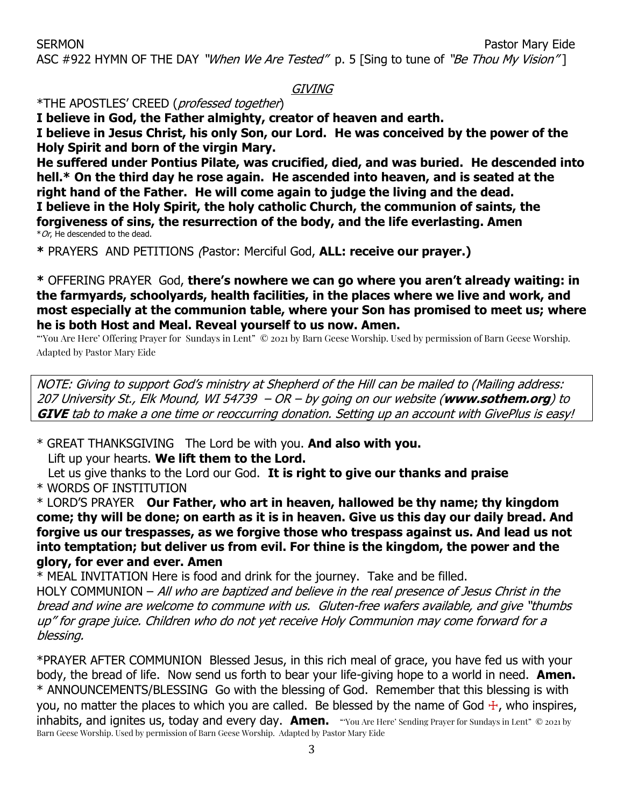[ASC](https://members.sundaysandseasons.com/Music/Index/2021-1-31/2182) #922 HYMN OF THE DAY "When We Are Tested" p. 5 [Sing to tune of "Be Thou My Vision"]

### GIVING

\*THE APOSTLES' CREED (professed together)

**I believe in God, the Father almighty, creator of heaven and earth.**

**I believe in Jesus Christ, his only Son, our Lord. He was conceived by the power of the Holy Spirit and born of the virgin Mary.**

**He suffered under Pontius Pilate, was crucified, died, and was buried. He descended into hell.\* On the third day he rose again. He ascended into heaven, and is seated at the right hand of the Father. He will come again to judge the living and the dead. I believe in the Holy Spirit, the holy catholic Church, the communion of saints, the forgiveness of sins, the resurrection of the body, and the life everlasting. Amen**  $*$  Or, He descended to the dead.

**\*** PRAYERS AND PETITIONS (Pastor: Merciful God, **ALL: receive our prayer.)**

**\*** OFFERING PRAYERGod, **there's nowhere we can go where you aren't already waiting: in the farmyards, schoolyards, health facilities, in the places where we live and work, and most especially at the communion table, where your Son has promised to meet us; where he is both Host and Meal. Reveal yourself to us now. Amen.** 

"'You Are Here' Offering Prayer for Sundays in Lent" © 2021 by Barn Geese Worship. Used by permission of Barn Geese Worship. Adapted by Pastor Mary Eide

NOTE: Giving to support God's ministry at Shepherd of the Hill can be mailed to (Mailing address: 207 University St., Elk Mound, WI 54739 – OR – by going on our website (**www.sothem.org**) to **GIVE** tab to make a one time or reoccurring donation. Setting up an account with GivePlus is easy!

\* GREAT THANKSGIVING The Lord be with you. **And also with you.**

Lift up your hearts. **We lift them to the Lord.**

Let us give thanks to the Lord our God. **It is right to give our thanks and praise**

\* WORDS OF INSTITUTION

\* LORD'S PRAYER **Our Father, who art in heaven, hallowed be thy name; thy kingdom come; thy will be done; on earth as it is in heaven. Give us this day our daily bread. And forgive us our trespasses, as we forgive those who trespass against us. And lead us not into temptation; but deliver us from evil. For thine is the kingdom, the power and the glory, for ever and ever. Amen**

\* MEAL INVITATION Here is food and drink for the journey. Take and be filled.

HOLY COMMUNION – All who are baptized and believe in the real presence of Jesus Christ in the bread and wine are welcome to commune with us. Gluten-free wafers available, and give "thumbs up" for grape juice. Children who do not yet receive Holy Communion may come forward for a blessing.

\*PRAYER AFTER COMMUNION Blessed Jesus, in this rich meal of grace, you have fed us with your body, the bread of life. Now send us forth to bear your life-giving hope to a world in need. **Amen.** \* ANNOUNCEMENTS/BLESSING Go with the blessing of God. Remember that this blessing is with you, no matter the places to which you are called. Be blessed by the name of God  $\pm$ , who inspires, inhabits, and ignites us, today and every day. **Amen.** "You Are Here' Sending Prayer for Sundays in Lent" © 2021 by Barn Geese Worship. Used by permission of Barn Geese Worship. Adapted by Pastor Mary Eide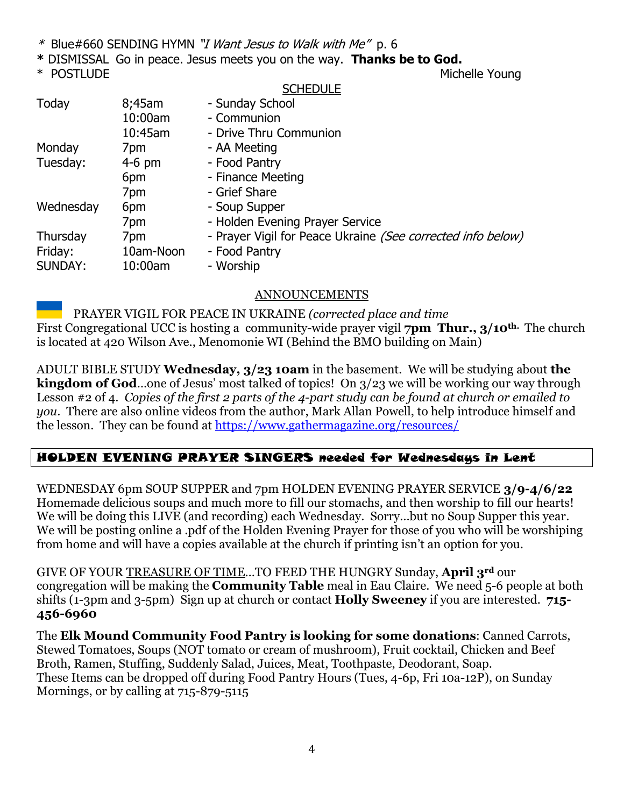- \* [Blue#660](https://members.sundaysandseasons.com/Music/Index/2021-1-31/2182) SENDING HYMN "I Want Jesus to Walk with Me" p. 6
- **\*** DISMISSALGo in peace. Jesus meets you on the way. **Thanks be to God.**
- 

#### **SCHEDULE**

\* POSTLUDE And the Michelle Young

| Today          | 8;45am    | - Sunday School                                             |
|----------------|-----------|-------------------------------------------------------------|
|                | 10:00am   | - Communion                                                 |
|                | 10:45am   | - Drive Thru Communion                                      |
| Monday         | 7pm       | - AA Meeting                                                |
| Tuesday:       | $4-6$ pm  | - Food Pantry                                               |
|                | 6pm       | - Finance Meeting                                           |
|                | 7pm       | - Grief Share                                               |
| Wednesday      | 6pm       | - Soup Supper                                               |
|                | 7pm       | - Holden Evening Prayer Service                             |
| Thursday       | 7pm       | - Prayer Vigil for Peace Ukraine (See corrected info below) |
| Friday:        | 10am-Noon | - Food Pantry                                               |
| <b>SUNDAY:</b> | 10:00am   | - Worship                                                   |

## ANNOUNCEMENTS

PRAYER VIGIL FOR PEACE IN UKRAINE *(corrected place and time* First Congregational UCC is hosting a community-wide prayer vigil **7pm Thur., 3/10th.** The church is located at 420 Wilson Ave., Menomonie WI (Behind the BMO building on Main)

ADULT BIBLE STUDY **Wednesday, 3/23 10am** in the basement. We will be studying about **the kingdom of God**…one of Jesus' most talked of topics! On 3/23 we will be working our way through Lesson #2 of 4. *Copies of the first 2 parts of the 4-part study can be found at church or emailed to you*. There are also online videos from the author, Mark Allan Powell, to help introduce himself and the lesson. They can be found at<https://www.gathermagazine.org/resources/>

## HOLDEN EVENING PRAYER SINGERS needed for Wednesdays in Lent

WEDNESDAY 6pm SOUP SUPPER and 7pm HOLDEN EVENING PRAYER SERVICE **3/9-4/6/22** Homemade delicious soups and much more to fill our stomachs, and then worship to fill our hearts! We will be doing this LIVE (and recording) each Wednesday. Sorry...but no Soup Supper this year. We will be posting online a .pdf of the Holden Evening Prayer for those of you who will be worshiping from home and will have a copies available at the church if printing isn't an option for you.

GIVE OF YOUR TREASURE OF TIME…TO FEED THE HUNGRY Sunday, **April 3rd** our congregation will be making the **Community Table** meal in Eau Claire. We need 5-6 people at both shifts (1-3pm and 3-5pm) Sign up at church or contact **Holly Sweeney** if you are interested. **715- 456-6960** 

The **Elk Mound Community Food Pantry is looking for some donations**: Canned Carrots, Stewed Tomatoes, Soups (NOT tomato or cream of mushroom), Fruit cocktail, Chicken and Beef Broth, Ramen, Stuffing, Suddenly Salad, Juices, Meat, Toothpaste, Deodorant, Soap. These Items can be dropped off during Food Pantry Hours (Tues, 4-6p, Fri 10a-12P), on Sunday Mornings, or by calling at 715-879-5115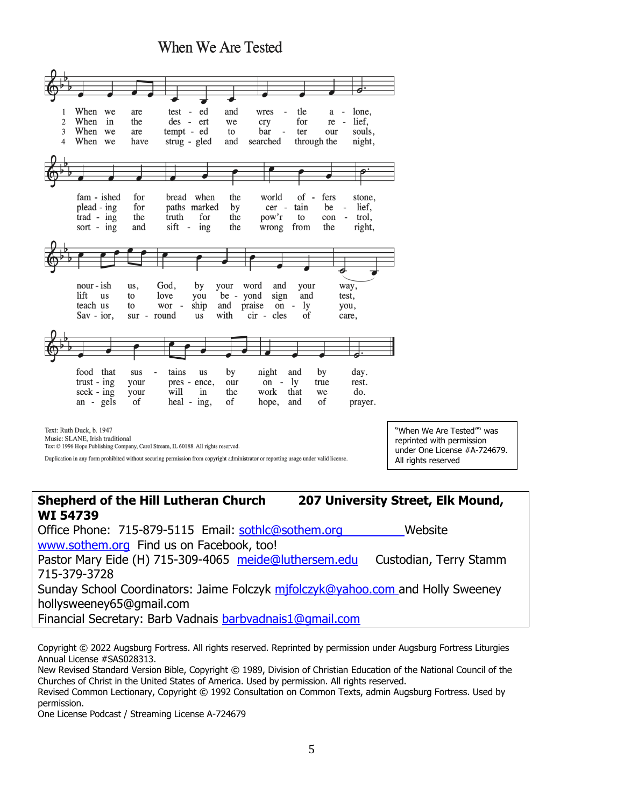**When We Are Tested** 



## **Shepherd of the Hill Lutheran Church 207 University Street, Elk Mound, WI 54739** Office Phone: 715-879-5115 Email: [sothlc@sothem.org](mailto:sothlc@sothem.org) Website [www.sothem.org](http://www.sothem.org/) Find us on Facebook, too! Pastor Mary Eide (H) 715-309-4065 [meide@luthersem.edu](mailto:meide@luthersem.edu) Custodian, Terry Stamm

715-379-3728 Sunday School Coordinators: Jaime Folczyk [mjfolczyk@yahoo.com](mailto:mjfolczyk@yahoo.com) and Holly Sweeney hollysweeney65@gmail.com Financial Secretary: Barb Vadnais [barbvadnais1@gmail.com](mailto:barbvadnais1@gmail.com)

Copyright © 2022 Augsburg Fortress. All rights reserved. Reprinted by permission under Augsburg Fortress Liturgies Annual License #SAS028313.

New Revised Standard Version Bible, Copyright © 1989, Division of Christian Education of the National Council of the Churches of Christ in the United States of America. Used by permission. All rights reserved.

Revised Common Lectionary, Copyright © 1992 Consultation on Common Texts, admin Augsburg Fortress. Used by permission.

One License Podcast / Streaming License A-724679